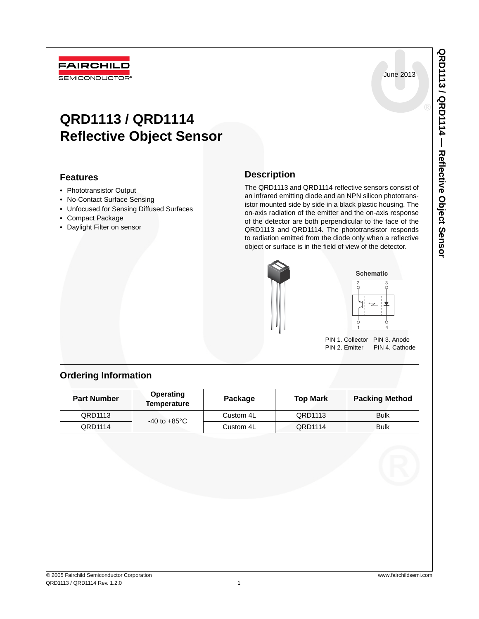June 2013

# **QRD1113 / QRD1114 Reflective Object Sensor**

## **Features**

• Phototransistor Output

**FAIRCHILD** SEMICONDUCTOR<sup>®</sup>

- No-Contact Surface Sensing
- Unfocused for Sensing Diffused Surfaces
- Compact Package
- Daylight Filter on sensor

## **Description**

The QRD1113 and QRD1114 reflective sensors consist of an infrared emitting diode and an NPN silicon phototransistor mounted side by side in a black plastic housing. The on-axis radiation of the emitter and the on-axis response of the detector are both perpendicular to the face of the QRD1113 and QRD1114. The phototransistor responds to radiation emitted from the diode only when a reflective object or surface is in the field of view of the detector.





PIN 1. Collector PIN 3. Anode<br>PIN 2. Emitter PIN 4. Cathod PIN 4. Cathode

## **Ordering Information**

| <b>Part Number</b> | <b>Operating</b><br><b>Temperature</b> | Package   | <b>Top Mark</b> | <b>Packing Method</b> |
|--------------------|----------------------------------------|-----------|-----------------|-----------------------|
| QRD1113            | $-40$ to $+85^{\circ}$ C               | Custom 4L | QRD1113         | <b>Bulk</b>           |
| QRD1114            |                                        | Custom 4L | QRD1114         | <b>Bulk</b>           |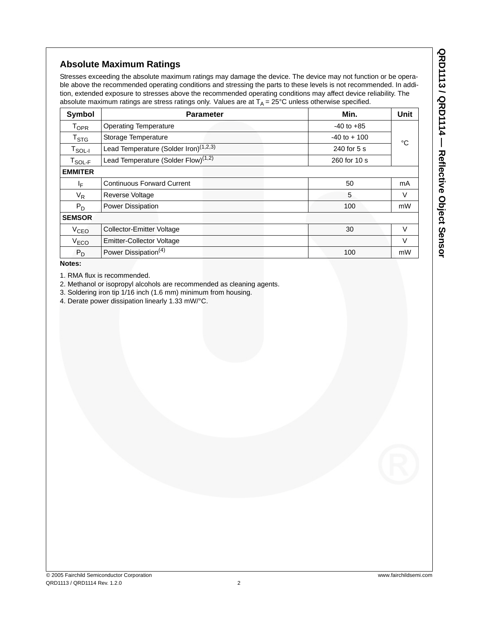## **Absolute Maximum Ratings**

Stresses exceeding the absolute maximum ratings may damage the device. The device may not function or be operable above the recommended operating conditions and stressing the parts to these levels is not recommended. In addition, extended exposure to stresses above the recommended operating conditions may affect device reliability. The absolute maximum ratings are stress ratings only. Values are at  $T_A = 25^{\circ}$ C unless otherwise specified.

| Symbol                                        | <b>Parameter</b>                                                 | Min.            | Unit   |  |  |
|-----------------------------------------------|------------------------------------------------------------------|-----------------|--------|--|--|
| <b>T<sub>OPR</sub></b>                        | <b>Operating Temperature</b>                                     | $-40$ to $+85$  |        |  |  |
| $T_{\text{STG}}$                              | Storage Temperature                                              | $-40$ to $+100$ | °C     |  |  |
| $\mathsf{T}_{\mathsf{SOL-I}}$                 | Lead Temperature (Solder Iron) <sup>(1,2,3)</sup><br>240 for 5 s |                 |        |  |  |
| $\mathsf{T}_{\mathsf{SOL}\text{-}\mathsf{F}}$ | Lead Temperature (Solder Flow) <sup>(1,2)</sup>                  | 260 for 10 s    |        |  |  |
| <b>EMMITER</b>                                |                                                                  |                 |        |  |  |
| IF.                                           | <b>Continuous Forward Current</b>                                | 50              | mA     |  |  |
| $V_R$                                         | Reverse Voltage                                                  | 5               | V      |  |  |
| $P_D$                                         | Power Dissipation                                                | 100             | mW     |  |  |
| <b>SEMSOR</b>                                 |                                                                  |                 |        |  |  |
| V <sub>CEO</sub>                              | 30<br>Collector-Emitter Voltage                                  |                 | $\vee$ |  |  |
| V <sub>ECO</sub>                              | <b>Emitter-Collector Voltage</b>                                 |                 | V      |  |  |
| $P_D$                                         | Power Dissipation <sup>(4)</sup><br>100                          |                 |        |  |  |

**Notes:**

1. RMA flux is recommended.

2. Methanol or isopropyl alcohols are recommended as cleaning agents.

3. Soldering iron tip 1/16 inch (1.6 mm) minimum from housing.

4. Derate power dissipation linearly 1.33 mW/°C.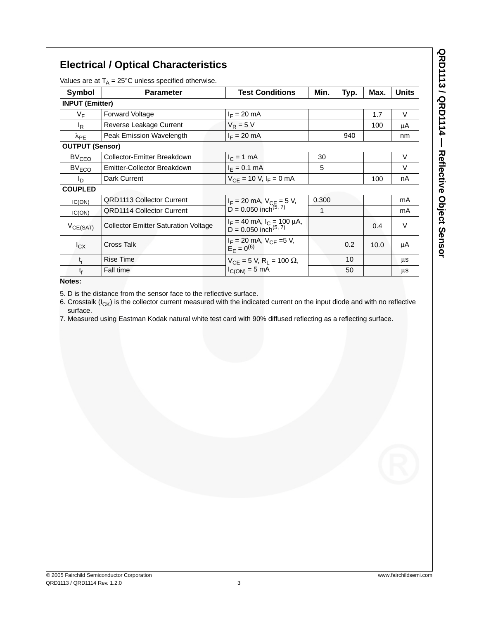## **Electrical / Optical Characteristics**

Values are at  $T_A = 25^{\circ}$ C unless specified otherwise.

| Symbol                 | <b>Parameter</b>                            | <b>Test Conditions</b>                                             | Min. | Typ. | Max. | <b>Units</b> |
|------------------------|---------------------------------------------|--------------------------------------------------------------------|------|------|------|--------------|
|                        | <b>INPUT (Emitter)</b>                      |                                                                    |      |      |      |              |
| $V_F$                  | <b>Forward Voltage</b>                      | $I_F = 20$ mA                                                      |      |      | 1.7  | V            |
| <sup>I</sup> R         | Reverse Leakage Current                     | $V_R = 5 V$                                                        |      |      | 100  | μA           |
| $\lambda_{PE}$         | Peak Emission Wavelength                    | $I_F = 20$ mA                                                      |      | 940  |      | nm           |
| <b>OUTPUT (Sensor)</b> |                                             |                                                                    |      |      |      |              |
| BV <sub>CEO</sub>      | Collector-Emitter Breakdown                 | $I_C = 1$ mA                                                       | 30   |      |      | V            |
| $BV_{ECO}$             | Emitter-Collector Breakdown                 | $I_F = 0.1$ mA                                                     | 5    |      |      | V            |
| I <sub>D</sub>         | Dark Current                                | $V_{CF}$ = 10 V, $I_F$ = 0 mA                                      |      |      | 100  | nA           |
| <b>COUPLED</b>         |                                             |                                                                    |      |      |      |              |
| IC(ON)                 | <b>QRD1113 Collector Current</b>            | $I_F = 20$ mA, $V_{CE} = 5$ V,<br>D = 0.050 inch <sup>(5, 7)</sup> |      |      |      | mA           |
| IC(ON)                 | <b>QRD1114 Collector Current</b>            |                                                                    | 1    |      |      | mA           |
| $V_{CE(SAT)}$          | <b>Collector Emitter Saturation Voltage</b> | $I_F = 40$ mA, $I_C = 100$ µA,<br>D = 0.050 inch <sup>(5, 7)</sup> |      |      | 0.4  | V            |
| $I_{CX}$               | Cross Talk                                  | $I_F = 20$ mA, $V_{CE} = 5$ V,<br>$E_F = 0^{(6)}$                  |      | 0.2  | 10.0 | μA           |
| $t_{r}$                | <b>Rise Time</b>                            | $V_{CF}$ = 5 V, R <sub>1</sub> = 100 $\Omega$ ,                    |      | 10   |      | μs           |
| t <sub>f</sub>         | Fall time                                   | $I_{C(ON)} = 5$ mA                                                 |      | 50   |      | μs           |

**Notes:**

5. D is the distance from the sensor face to the reflective surface.

6. Crosstalk ( $I_{CK}$ ) is the collector current measured with the indicated current on the input diode and with no reflective surface.

7. Measured using Eastman Kodak natural white test card with 90% diffused reflecting as a reflecting surface.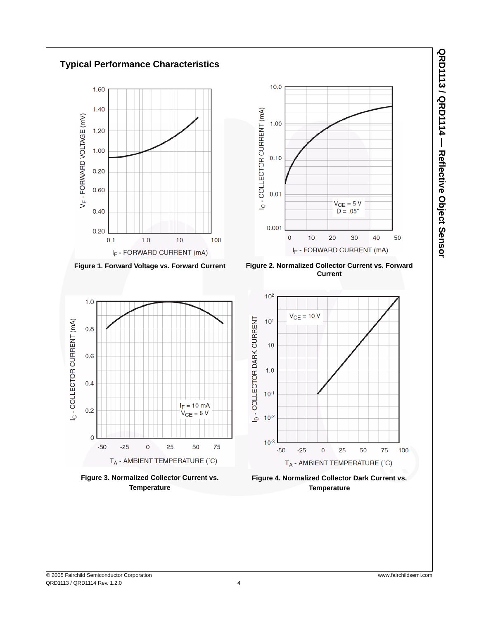**Typical Performance Characteristics**  $10.0$ Ic - COLLECTOR CURRENT (mA)  $1.00$  $0.10$  $0.01$  $V_{CE} = 5 V$  $D = .05"$  $0.001$  $10$ 40  $\pmb{0}$ 20 30 50  $1.0$  $10$ 100 I<sub>F</sub> - FORWARD CURRENT (mA) IF - FORWARD CURRENT (mA) **Figure 1. Forward Voltage vs. Forward Current Figure 2. Normalized Collector Current vs. Forward Current**  $10<sup>2</sup>$  $V_{CE} = 10 V$ ID - COLLECTOR DARK CURRENT  $10<sup>1</sup>$  $10$  $1.0$  $10^{-1}$  $I_F = 10$  mA  $V_{CE} = 5 V$  $10^{-2}$  $10^{-3}$  $-25$  $\mathbf 0$ 25 50 75  $-50$  $-25$ 25 50 75  $\pmb{0}$ 100 T<sub>A</sub> - AMBIENT TEMPERATURE (°C) T<sub>A</sub> - AMBIENT TEMPERATURE (°C) **Figure 3. Normalized Collector Current vs. Figure 4. Normalized Collector Dark Current vs. Temperature Temperature**

1.60

 $1.40$ 

 $1.20$ 

 $1.00$ 

 $0.20$ 

0.60

 $0.40$ 

0.20

 $1.0$ 

 $0.8$ 

 $0.6$ 

 $0.4$ 

 $0.2$ 

 $\epsilon$ 

 $-50$ 

c - COLLECTOR CURRENT (mA)

 $0.1$ 

V<sub>F</sub> - FORWARD VOLTAGE (mV)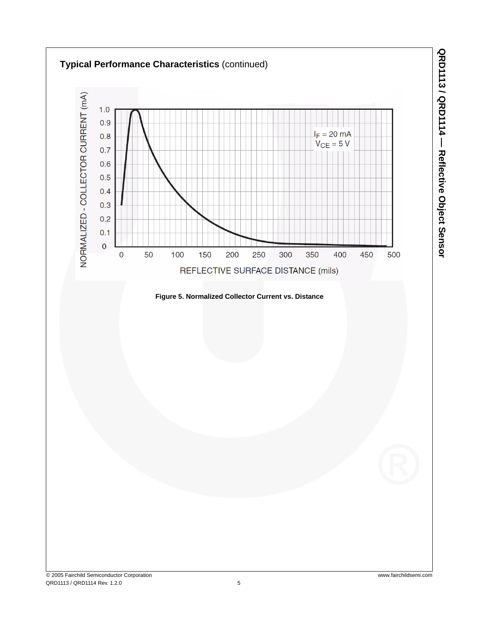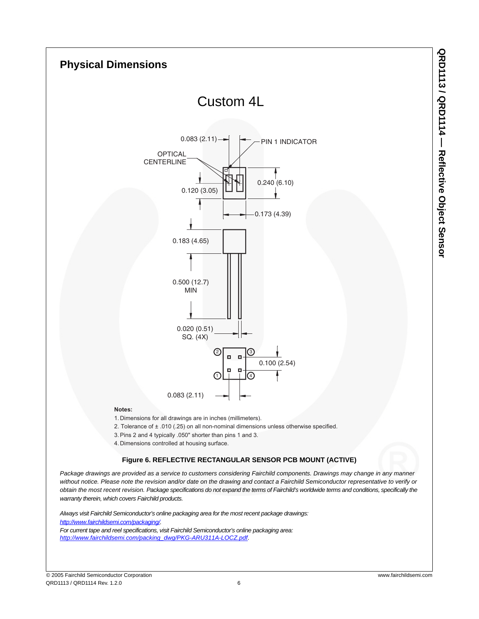

## **Figure 6. REFLECTIVE RECTANGULAR SENSOR PCB MOUNT (ACTIVE)**

*Package drawings are provided as a service to customers considering Fairchild components. Drawings may change in any manner without notice. Please note the revision and/or date on the drawing and contact a Fairchild Semiconductor representative to verify or obtain the most recent revision. Package specifications do not expand the terms of Fairchild's worldwide terms and conditions, specifically the warranty therein, which covers Fairchild products.*

*Always visit Fairchild Semiconductor's online packaging area for the most recent package drawings: http://www.fairchildsemi.com/packaging/. For current tape and reel specifications, visit Fairchild Semiconductor's online packaging area: http://www.fairchildsemi.com/packing\_dwg/PKG-ARU311A-LOCZ.pdf*.